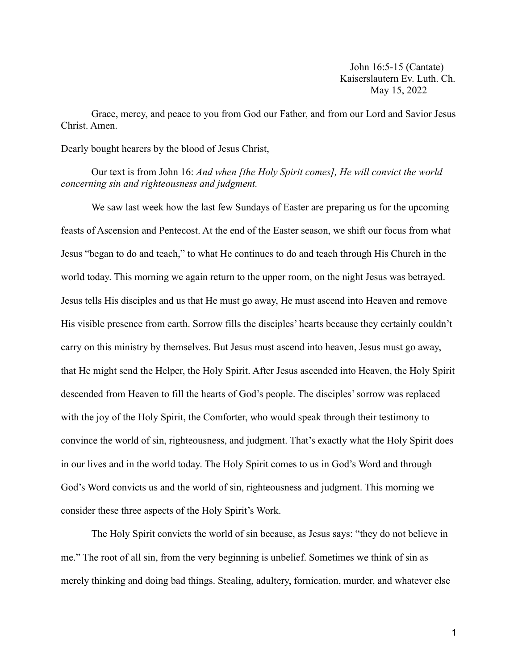John 16:5-15 (Cantate) Kaiserslautern Ev. Luth. Ch. May 15, 2022

Grace, mercy, and peace to you from God our Father, and from our Lord and Savior Jesus Christ. Amen.

Dearly bought hearers by the blood of Jesus Christ,

Our text is from John 16: *And when [the Holy Spirit comes], He will convict the world concerning sin and righteousness and judgment.*

We saw last week how the last few Sundays of Easter are preparing us for the upcoming feasts of Ascension and Pentecost. At the end of the Easter season, we shift our focus from what Jesus "began to do and teach," to what He continues to do and teach through His Church in the world today. This morning we again return to the upper room, on the night Jesus was betrayed. Jesus tells His disciples and us that He must go away, He must ascend into Heaven and remove His visible presence from earth. Sorrow fills the disciples' hearts because they certainly couldn't carry on this ministry by themselves. But Jesus must ascend into heaven, Jesus must go away, that He might send the Helper, the Holy Spirit. After Jesus ascended into Heaven, the Holy Spirit descended from Heaven to fill the hearts of God's people. The disciples' sorrow was replaced with the joy of the Holy Spirit, the Comforter, who would speak through their testimony to convince the world of sin, righteousness, and judgment. That's exactly what the Holy Spirit does in our lives and in the world today. The Holy Spirit comes to us in God's Word and through God's Word convicts us and the world of sin, righteousness and judgment. This morning we consider these three aspects of the Holy Spirit's Work.

The Holy Spirit convicts the world of sin because, as Jesus says: "they do not believe in me." The root of all sin, from the very beginning is unbelief. Sometimes we think of sin as merely thinking and doing bad things. Stealing, adultery, fornication, murder, and whatever else

1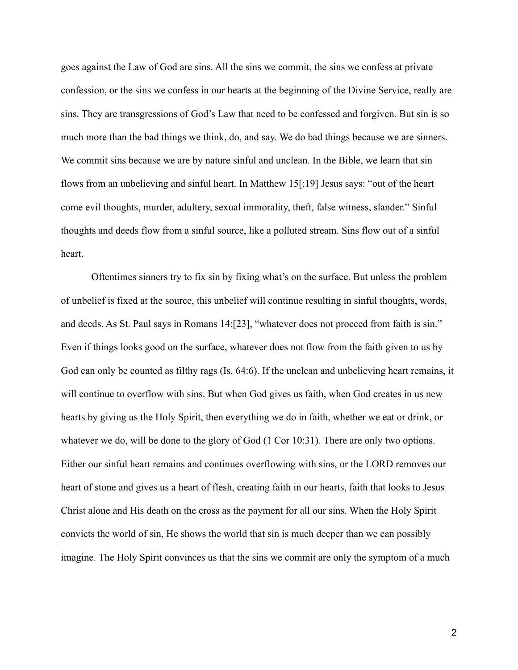goes against the Law of God are sins. All the sins we commit, the sins we confess at private confession, or the sins we confess in our hearts at the beginning of the Divine Service, really are sins. They are transgressions of God's Law that need to be confessed and forgiven. But sin is so much more than the bad things we think, do, and say. We do bad things because we are sinners. We commit sins because we are by nature sinful and unclean. In the Bible, we learn that sin flows from an unbelieving and sinful heart. In Matthew 15[:19] Jesus says: "out of the heart come evil thoughts, murder, adultery, sexual immorality, theft, false witness, slander." Sinful thoughts and deeds flow from a sinful source, like a polluted stream. Sins flow out of a sinful heart.

Oftentimes sinners try to fix sin by fixing what's on the surface. But unless the problem of unbelief is fixed at the source, this unbelief will continue resulting in sinful thoughts, words, and deeds. As St. Paul says in Romans 14:[23], "whatever does not proceed from faith is sin." Even if things looks good on the surface, whatever does not flow from the faith given to us by God can only be counted as filthy rags (Is. 64:6). If the unclean and unbelieving heart remains, it will continue to overflow with sins. But when God gives us faith, when God creates in us new hearts by giving us the Holy Spirit, then everything we do in faith, whether we eat or drink, or whatever we do, will be done to the glory of God  $(1 \text{ Cor } 10:31)$ . There are only two options. Either our sinful heart remains and continues overflowing with sins, or the LORD removes our heart of stone and gives us a heart of flesh, creating faith in our hearts, faith that looks to Jesus Christ alone and His death on the cross as the payment for all our sins. When the Holy Spirit convicts the world of sin, He shows the world that sin is much deeper than we can possibly imagine. The Holy Spirit convinces us that the sins we commit are only the symptom of a much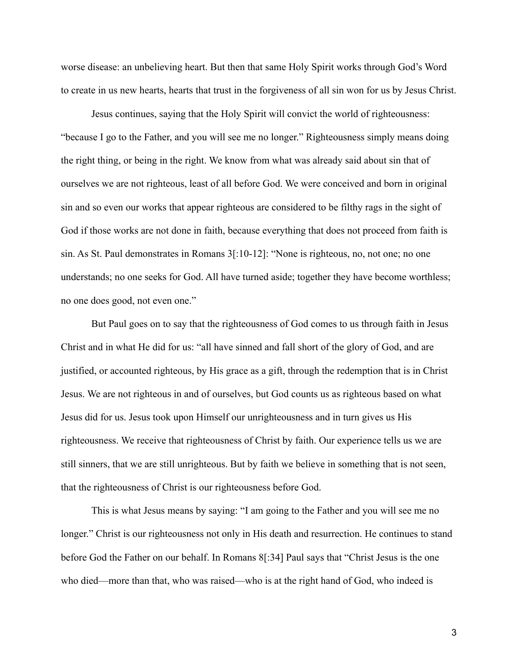worse disease: an unbelieving heart. But then that same Holy Spirit works through God's Word to create in us new hearts, hearts that trust in the forgiveness of all sin won for us by Jesus Christ.

Jesus continues, saying that the Holy Spirit will convict the world of righteousness: "because I go to the Father, and you will see me no longer." Righteousness simply means doing the right thing, or being in the right. We know from what was already said about sin that of ourselves we are not righteous, least of all before God. We were conceived and born in original sin and so even our works that appear righteous are considered to be filthy rags in the sight of God if those works are not done in faith, because everything that does not proceed from faith is sin. As St. Paul demonstrates in Romans 3[:10-12]: "None is righteous, no, not one; no one understands; no one seeks for God. All have turned aside; together they have become worthless; no one does good, not even one."

But Paul goes on to say that the righteousness of God comes to us through faith in Jesus Christ and in what He did for us: "all have sinned and fall short of the glory of God, and are justified, or accounted righteous, by His grace as a gift, through the redemption that is in Christ Jesus. We are not righteous in and of ourselves, but God counts us as righteous based on what Jesus did for us. Jesus took upon Himself our unrighteousness and in turn gives us His righteousness. We receive that righteousness of Christ by faith. Our experience tells us we are still sinners, that we are still unrighteous. But by faith we believe in something that is not seen, that the righteousness of Christ is our righteousness before God.

This is what Jesus means by saying: "I am going to the Father and you will see me no longer." Christ is our righteousness not only in His death and resurrection. He continues to stand before God the Father on our behalf. In Romans 8[:34] Paul says that "Christ Jesus is the one who died—more than that, who was raised—who is at the right hand of God, who indeed is

3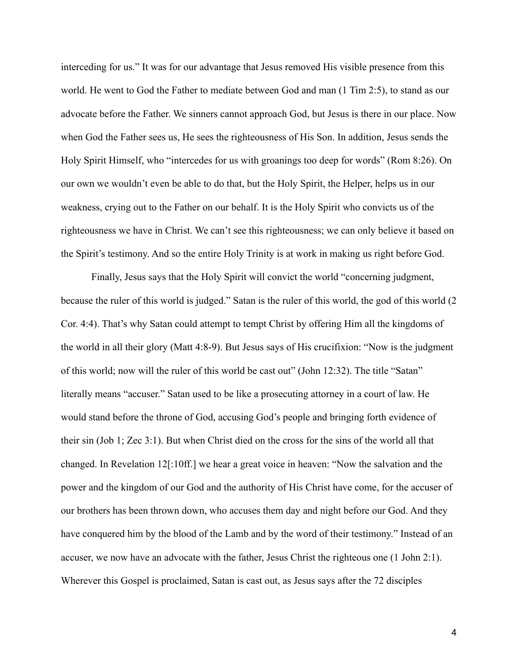interceding for us." It was for our advantage that Jesus removed His visible presence from this world. He went to God the Father to mediate between God and man (1 Tim 2:5), to stand as our advocate before the Father. We sinners cannot approach God, but Jesus is there in our place. Now when God the Father sees us, He sees the righteousness of His Son. In addition, Jesus sends the Holy Spirit Himself, who "intercedes for us with groanings too deep for words" (Rom 8:26). On our own we wouldn't even be able to do that, but the Holy Spirit, the Helper, helps us in our weakness, crying out to the Father on our behalf. It is the Holy Spirit who convicts us of the righteousness we have in Christ. We can't see this righteousness; we can only believe it based on the Spirit's testimony. And so the entire Holy Trinity is at work in making us right before God.

Finally, Jesus says that the Holy Spirit will convict the world "concerning judgment, because the ruler of this world is judged." Satan is the ruler of this world, the god of this world (2 Cor. 4:4). That's why Satan could attempt to tempt Christ by offering Him all the kingdoms of the world in all their glory (Matt 4:8-9). But Jesus says of His crucifixion: "Now is the judgment of this world; now will the ruler of this world be cast out" (John 12:32). The title "Satan" literally means "accuser." Satan used to be like a prosecuting attorney in a court of law. He would stand before the throne of God, accusing God's people and bringing forth evidence of their sin (Job 1; Zec 3:1). But when Christ died on the cross for the sins of the world all that changed. In Revelation 12[:10ff.] we hear a great voice in heaven: "Now the salvation and the power and the kingdom of our God and the authority of His Christ have come, for the accuser of our brothers has been thrown down, who accuses them day and night before our God. And they have conquered him by the blood of the Lamb and by the word of their testimony." Instead of an accuser, we now have an advocate with the father, Jesus Christ the righteous one (1 John 2:1). Wherever this Gospel is proclaimed, Satan is cast out, as Jesus says after the 72 disciples